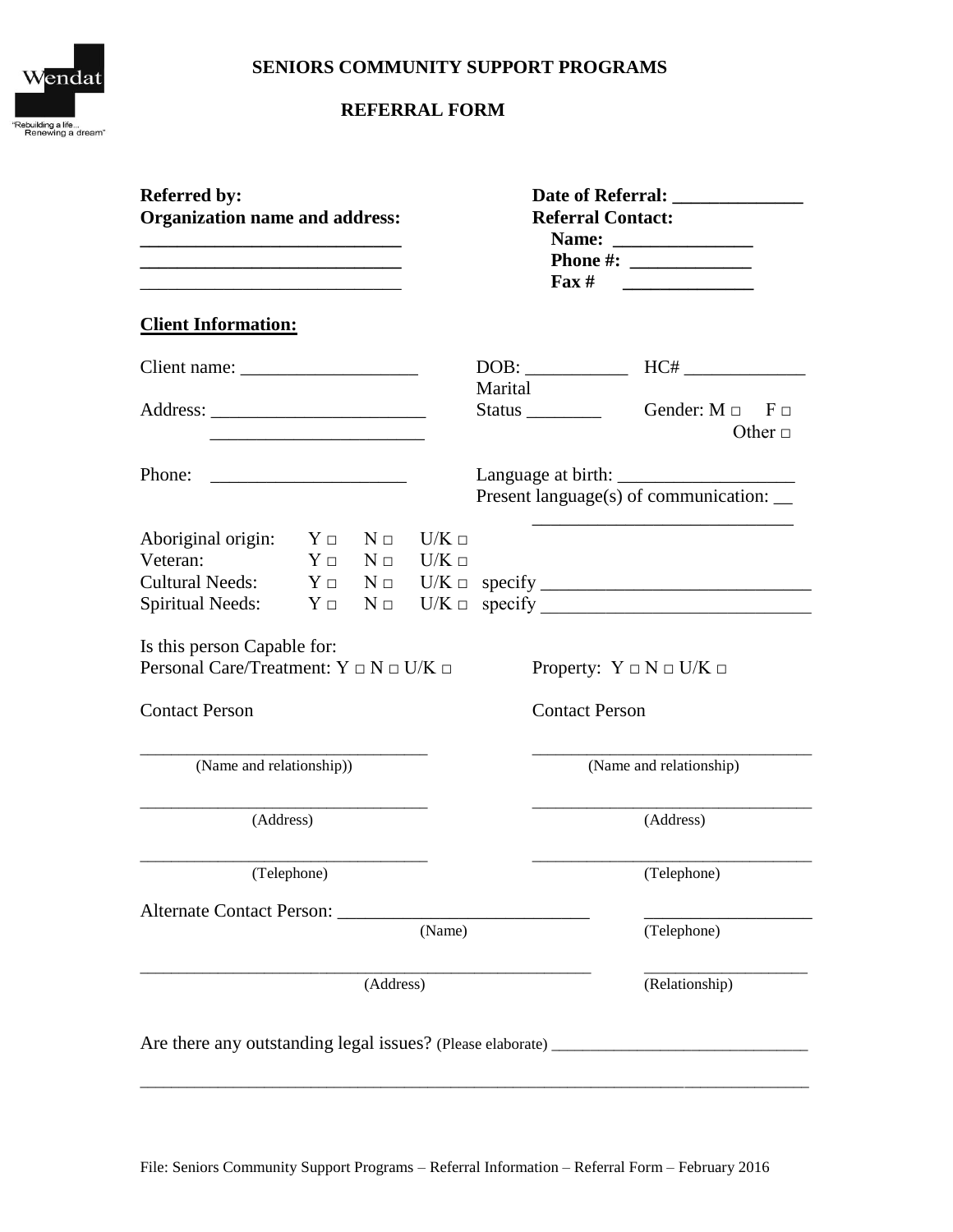## **SENIORS COMMUNITY SUPPORT PROGRAMS**



# **REFERRAL FORM**

| <b>Referred by:</b><br><b>Organization name and address:</b><br>the control of the control of the control of the control of the control of the control of |                                                               | Date of Referral: <u>New York Contract of Australian Contract of Australian Contract of Australian Contract of Australian Contract of Australian Contract of Australian Contract of Australian Contract of Australian Contract o</u><br><b>Referral Contact:</b><br>Fax $\#$ |             |                                                                                |
|-----------------------------------------------------------------------------------------------------------------------------------------------------------|---------------------------------------------------------------|------------------------------------------------------------------------------------------------------------------------------------------------------------------------------------------------------------------------------------------------------------------------------|-------------|--------------------------------------------------------------------------------|
| <b>Client Information:</b>                                                                                                                                |                                                               |                                                                                                                                                                                                                                                                              |             |                                                                                |
|                                                                                                                                                           |                                                               |                                                                                                                                                                                                                                                                              | DOB:        |                                                                                |
|                                                                                                                                                           |                                                               |                                                                                                                                                                                                                                                                              | Marital     | Gender: $M \Box$ F $\Box$<br>Other $\Box$                                      |
| Phone:                                                                                                                                                    | <u> 2002 - Jan James James Barnett, filozof eta idazlea (</u> |                                                                                                                                                                                                                                                                              |             | Present language(s) of communication: _                                        |
| Aboriginal origin:<br>Veteran:                                                                                                                            | $Y \Box$ $N \Box$<br>$Y \Box$ $N \Box$ $U/K \Box$             | $U/K \Box$                                                                                                                                                                                                                                                                   |             |                                                                                |
|                                                                                                                                                           |                                                               |                                                                                                                                                                                                                                                                              |             | Spiritual Needs: $Y \Box \quad N \Box \quad U/K \Box \quad \text{specificity}$ |
| Is this person Capable for:<br>Personal Care/Treatment: $Y \Box N \Box U/K \Box$<br><b>Contact Person</b>                                                 |                                                               |                                                                                                                                                                                                                                                                              |             | Property: $Y \square N \square U/K \square$<br><b>Contact Person</b>           |
| (Name and relationship))                                                                                                                                  |                                                               |                                                                                                                                                                                                                                                                              |             | (Name and relationship)                                                        |
| (Address)                                                                                                                                                 |                                                               |                                                                                                                                                                                                                                                                              | (Address)   |                                                                                |
| (Telephone)                                                                                                                                               |                                                               |                                                                                                                                                                                                                                                                              | (Telephone) |                                                                                |
|                                                                                                                                                           | (Name)                                                        |                                                                                                                                                                                                                                                                              | (Telephone) |                                                                                |
| (Address)                                                                                                                                                 |                                                               |                                                                                                                                                                                                                                                                              |             | (Relationship)                                                                 |
|                                                                                                                                                           |                                                               |                                                                                                                                                                                                                                                                              |             |                                                                                |

\_\_\_\_\_\_\_\_\_\_\_\_\_\_\_\_\_\_\_\_\_\_\_\_\_\_\_\_\_\_\_\_\_\_\_\_\_\_\_\_\_\_\_\_\_\_\_\_\_\_\_\_\_\_\_\_\_\_\_\_\_\_\_\_\_\_\_\_\_\_\_\_\_\_\_\_\_\_\_\_\_\_\_\_\_\_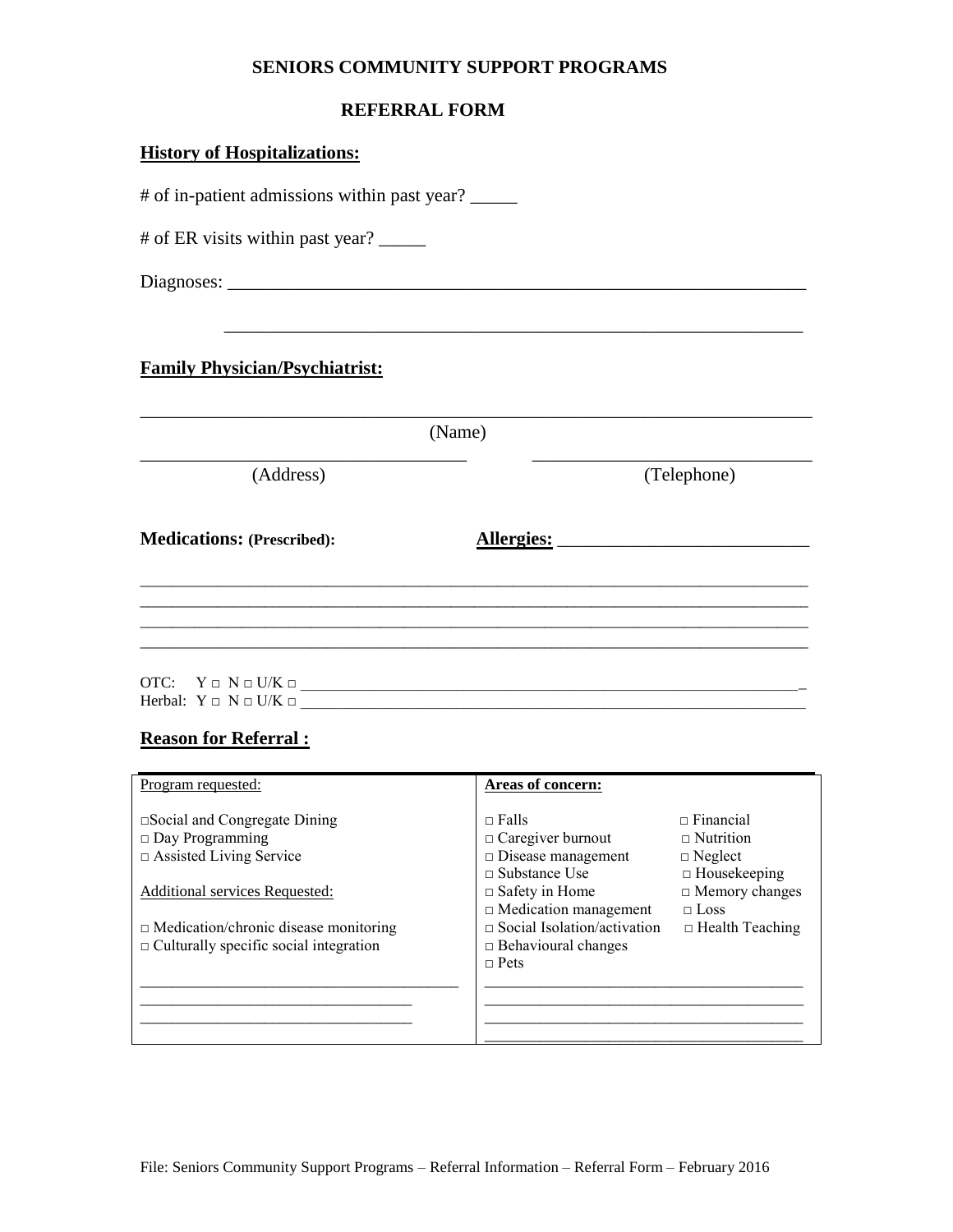### **SENIORS COMMUNITY SUPPORT PROGRAMS**

### **REFERRAL FORM**

## **History of Hospitalizations:**

# of in-patient admissions within past year? # of ER visits within past year? \_\_\_\_\_ Diagnoses: \_\_\_\_\_\_\_\_\_\_\_\_\_\_\_\_\_\_\_\_\_\_\_\_\_\_\_\_\_\_\_\_\_\_\_\_\_\_\_\_\_\_\_\_\_\_\_\_\_\_\_\_\_\_\_\_\_\_\_\_\_\_ \_\_\_\_\_\_\_\_\_\_\_\_\_\_\_\_\_\_\_\_\_\_\_\_\_\_\_\_\_\_\_\_\_\_\_\_\_\_\_\_\_\_\_\_\_\_\_\_\_\_\_\_\_\_\_\_\_\_\_\_\_\_ **Family Physician/Psychiatrist:**  \_\_\_\_\_\_\_\_\_\_\_\_\_\_\_\_\_\_\_\_\_\_\_\_\_\_\_\_\_\_\_\_\_\_\_\_\_\_\_\_\_\_\_\_\_\_\_\_\_\_\_\_\_\_\_\_\_\_\_\_\_\_\_\_\_\_\_\_\_\_\_\_ (Name) \_\_\_\_\_\_\_\_\_\_\_\_\_\_\_\_\_\_\_\_\_\_\_\_\_\_\_\_\_\_\_\_\_\_\_ \_\_\_\_\_\_\_\_\_\_\_\_\_\_\_\_\_\_\_\_\_\_\_\_\_\_\_\_\_\_ (Address) (Telephone) **Medications: (Prescribed): Allergies:** \_\_\_\_\_\_\_\_\_\_\_\_\_\_\_\_\_\_\_\_\_\_\_\_\_\_\_ \_\_\_\_\_\_\_\_\_\_\_\_\_\_\_\_\_\_\_\_\_\_\_\_\_\_\_\_\_\_\_\_\_\_\_\_\_\_\_\_\_\_\_\_\_\_\_\_\_\_\_\_\_\_\_\_\_\_\_\_\_\_\_\_\_\_\_\_\_\_\_\_\_\_\_\_\_\_\_\_\_\_\_\_\_\_ \_\_\_\_\_\_\_\_\_\_\_\_\_\_\_\_\_\_\_\_\_\_\_\_\_\_\_\_\_\_\_\_\_\_\_\_\_\_\_\_\_\_\_\_\_\_\_\_\_\_\_\_\_\_\_\_\_\_\_\_\_\_\_\_\_\_\_\_\_\_\_\_\_\_\_\_\_\_\_\_\_\_\_\_\_\_ \_\_\_\_\_\_\_\_\_\_\_\_\_\_\_\_\_\_\_\_\_\_\_\_\_\_\_\_\_\_\_\_\_\_\_\_\_\_\_\_\_\_\_\_\_\_\_\_\_\_\_\_\_\_\_\_\_\_\_\_\_\_\_\_\_\_\_\_\_\_\_\_\_\_\_\_\_\_\_\_\_\_\_\_\_\_ \_\_\_\_\_\_\_\_\_\_\_\_\_\_\_\_\_\_\_\_\_\_\_\_\_\_\_\_\_\_\_\_\_\_\_\_\_\_\_\_\_\_\_\_\_\_\_\_\_\_\_\_\_\_\_\_\_\_\_\_\_\_\_\_\_\_\_\_\_\_\_\_\_\_\_\_\_\_\_\_\_\_\_\_\_\_ OTC:  $Y \Box N \Box U/K \Box$ Herbal:  $Y \Box N \Box U/K \Box$ 

#### **Reason for Referral :**

| Program requested:                            | Areas of concern:                  |                        |
|-----------------------------------------------|------------------------------------|------------------------|
| $\square$ Social and Congregate Dining        | $\Box$ Falls                       | $\Box$ Financial       |
| $\Box$ Day Programming                        | $\Box$ Caregiver burnout           | $\Box$ Nutrition       |
| $\Box$ Assisted Living Service                | $\Box$ Disease management          | $\Box$ Neglect         |
|                                               | $\Box$ Substance Use               | $\Box$ Housekeeping    |
| Additional services Requested:                | $\Box$ Safety in Home              | $\Box$ Memory changes  |
|                                               | $\Box$ Medication management       | $\Box$ Loss            |
| $\Box$ Medication/chronic disease monitoring  | $\Box$ Social Isolation/activation | $\Box$ Health Teaching |
| $\Box$ Culturally specific social integration | $\Box$ Behavioural changes         |                        |
|                                               | $\Box$ Pets                        |                        |
|                                               |                                    |                        |
|                                               |                                    |                        |
|                                               |                                    |                        |
|                                               |                                    |                        |